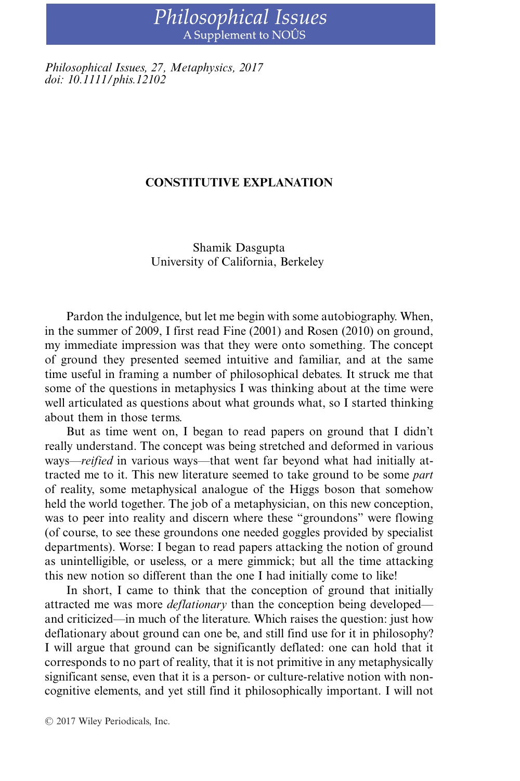# **Philosophical Issues** A Supplement to NOUS

*Philosophical Issues, 27, Metaphysics, 2017 doi: 10.1111/phis.12102*

# **CONSTITUTIVE EXPLANATION**

Shamik Dasgupta University of California, Berkeley

Pardon the indulgence, but let me begin with some autobiography. When, in the summer of 2009, I first read Fine (2001) and Rosen (2010) on ground, my immediate impression was that they were onto something. The concept of ground they presented seemed intuitive and familiar, and at the same time useful in framing a number of philosophical debates. It struck me that some of the questions in metaphysics I was thinking about at the time were well articulated as questions about what grounds what, so I started thinking about them in those terms.

But as time went on, I began to read papers on ground that I didn't really understand. The concept was being stretched and deformed in various ways—*reified* in various ways—that went far beyond what had initially attracted me to it. This new literature seemed to take ground to be some *part* of reality, some metaphysical analogue of the Higgs boson that somehow held the world together. The job of a metaphysician, on this new conception, was to peer into reality and discern where these "groundons" were flowing (of course, to see these groundons one needed goggles provided by specialist departments). Worse: I began to read papers attacking the notion of ground as unintelligible, or useless, or a mere gimmick; but all the time attacking this new notion so different than the one I had initially come to like!

In short, I came to think that the conception of ground that initially attracted me was more *deflationary* than the conception being developed and criticized—in much of the literature. Which raises the question: just how deflationary about ground can one be, and still find use for it in philosophy? I will argue that ground can be significantly deflated: one can hold that it corresponds to no part of reality, that it is not primitive in any metaphysically significant sense, even that it is a person- or culture-relative notion with noncognitive elements, and yet still find it philosophically important. I will not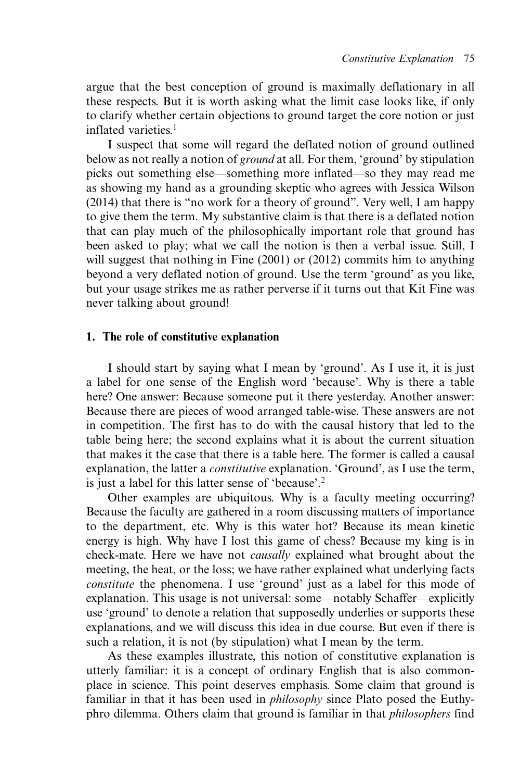argue that the best conception of ground is maximally deflationary in all these respects. But it is worth asking what the limit case looks like, if only to clarify whether certain objections to ground target the core notion or just inflated varieties  $^1$ 

I suspect that some will regard the deflated notion of ground outlined below as not really a notion of *ground* at all. For them, 'ground' by stipulation picks out something else—something more inflated—so they may read me as showing my hand as a grounding skeptic who agrees with Jessica Wilson (2014) that there is "no work for a theory of ground". Very well, I am happy to give them the term. My substantive claim is that there is a deflated notion that can play much of the philosophically important role that ground has been asked to play; what we call the notion is then a verbal issue. Still, I will suggest that nothing in Fine (2001) or (2012) commits him to anything beyond a very deflated notion of ground. Use the term 'ground' as you like, but your usage strikes me as rather perverse if it turns out that Kit Fine was never talking about ground!

## **1. The role of constitutive explanation**

I should start by saying what I mean by 'ground'. As I use it, it is just a label for one sense of the English word 'because'. Why is there a table here? One answer: Because someone put it there yesterday. Another answer: Because there are pieces of wood arranged table-wise. These answers are not in competition. The first has to do with the causal history that led to the table being here; the second explains what it is about the current situation that makes it the case that there is a table here. The former is called a causal explanation, the latter a *constitutive* explanation. 'Ground', as I use the term, is just a label for this latter sense of 'because'.<sup>2</sup>

Other examples are ubiquitous. Why is a faculty meeting occurring? Because the faculty are gathered in a room discussing matters of importance to the department, etc. Why is this water hot? Because its mean kinetic energy is high. Why have I lost this game of chess? Because my king is in check-mate. Here we have not *causally* explained what brought about the meeting, the heat, or the loss; we have rather explained what underlying facts *constitute* the phenomena. I use 'ground' just as a label for this mode of explanation. This usage is not universal: some—notably Schaffer—explicitly use 'ground' to denote a relation that supposedly underlies or supports these explanations, and we will discuss this idea in due course. But even if there is such a relation, it is not (by stipulation) what I mean by the term.

As these examples illustrate, this notion of constitutive explanation is utterly familiar: it is a concept of ordinary English that is also commonplace in science. This point deserves emphasis. Some claim that ground is familiar in that it has been used in *philosophy* since Plato posed the Euthyphro dilemma. Others claim that ground is familiar in that *philosophers* find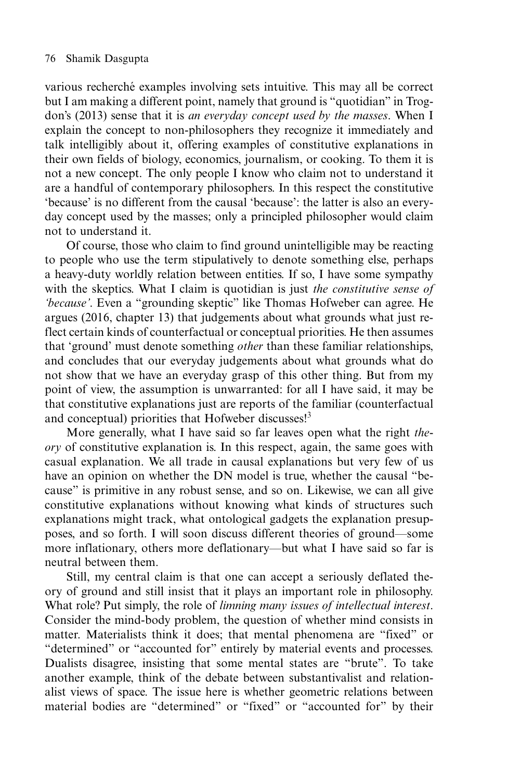various recherché examples involving sets intuitive. This may all be correct but I am making a different point, namely that ground is "quotidian" in Trogdon's (2013) sense that it is *an everyday concept used by the masses*. When I explain the concept to non-philosophers they recognize it immediately and talk intelligibly about it, offering examples of constitutive explanations in their own fields of biology, economics, journalism, or cooking. To them it is not a new concept. The only people I know who claim not to understand it are a handful of contemporary philosophers. In this respect the constitutive 'because' is no different from the causal 'because': the latter is also an everyday concept used by the masses; only a principled philosopher would claim not to understand it.

Of course, those who claim to find ground unintelligible may be reacting to people who use the term stipulatively to denote something else, perhaps a heavy-duty worldly relation between entities. If so, I have some sympathy with the skeptics. What I claim is quotidian is just *the constitutive sense of 'because'*. Even a "grounding skeptic" like Thomas Hofweber can agree. He argues (2016, chapter 13) that judgements about what grounds what just reflect certain kinds of counterfactual or conceptual priorities. He then assumes that 'ground' must denote something *other* than these familiar relationships, and concludes that our everyday judgements about what grounds what do not show that we have an everyday grasp of this other thing. But from my point of view, the assumption is unwarranted: for all I have said, it may be that constitutive explanations just are reports of the familiar (counterfactual and conceptual) priorities that Hofweber discusses!3

More generally, what I have said so far leaves open what the right *theory* of constitutive explanation is. In this respect, again, the same goes with casual explanation. We all trade in causal explanations but very few of us have an opinion on whether the DN model is true, whether the causal "because" is primitive in any robust sense, and so on. Likewise, we can all give constitutive explanations without knowing what kinds of structures such explanations might track, what ontological gadgets the explanation presupposes, and so forth. I will soon discuss different theories of ground—some more inflationary, others more deflationary—but what I have said so far is neutral between them.

Still, my central claim is that one can accept a seriously deflated theory of ground and still insist that it plays an important role in philosophy. What role? Put simply, the role of *limning many issues of intellectual interest*. Consider the mind-body problem, the question of whether mind consists in matter. Materialists think it does; that mental phenomena are "fixed" or "determined" or "accounted for" entirely by material events and processes. Dualists disagree, insisting that some mental states are "brute". To take another example, think of the debate between substantivalist and relationalist views of space. The issue here is whether geometric relations between material bodies are "determined" or "fixed" or "accounted for" by their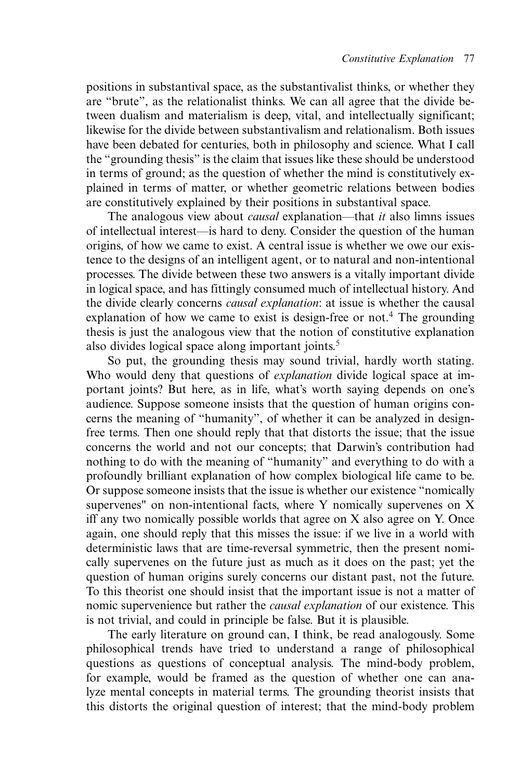positions in substantival space, as the substantivalist thinks, or whether they are "brute", as the relationalist thinks. We can all agree that the divide between dualism and materialism is deep, vital, and intellectually significant; likewise for the divide between substantivalism and relationalism. Both issues have been debated for centuries, both in philosophy and science. What I call the "grounding thesis" is the claim that issues like these should be understood in terms of ground; as the question of whether the mind is constitutively explained in terms of matter, or whether geometric relations between bodies are constitutively explained by their positions in substantival space.

The analogous view about *causal* explanation—that *it* also limns issues of intellectual interest—is hard to deny. Consider the question of the human origins, of how we came to exist. A central issue is whether we owe our existence to the designs of an intelligent agent, or to natural and non-intentional processes. The divide between these two answers is a vitally important divide in logical space, and has fittingly consumed much of intellectual history. And the divide clearly concerns *causal explanation*: at issue is whether the causal explanation of how we came to exist is design-free or not.<sup>4</sup> The grounding thesis is just the analogous view that the notion of constitutive explanation also divides logical space along important joints.<sup>5</sup>

So put, the grounding thesis may sound trivial, hardly worth stating. Who would deny that questions of *explanation* divide logical space at important joints? But here, as in life, what's worth saying depends on one's audience. Suppose someone insists that the question of human origins concerns the meaning of "humanity", of whether it can be analyzed in designfree terms. Then one should reply that that distorts the issue; that the issue concerns the world and not our concepts; that Darwin's contribution had nothing to do with the meaning of "humanity" and everything to do with a profoundly brilliant explanation of how complex biological life came to be. Or suppose someone insists that the issue is whether our existence "nomically supervenes" on non-intentional facts, where Y nomically supervenes on X iff any two nomically possible worlds that agree on X also agree on Y. Once again, one should reply that this misses the issue: if we live in a world with deterministic laws that are time-reversal symmetric, then the present nomically supervenes on the future just as much as it does on the past; yet the question of human origins surely concerns our distant past, not the future. To this theorist one should insist that the important issue is not a matter of nomic supervenience but rather the *causal explanation* of our existence. This is not trivial, and could in principle be false. But it is plausible.

The early literature on ground can, I think, be read analogously. Some philosophical trends have tried to understand a range of philosophical questions as questions of conceptual analysis. The mind-body problem, for example, would be framed as the question of whether one can analyze mental concepts in material terms. The grounding theorist insists that this distorts the original question of interest; that the mind-body problem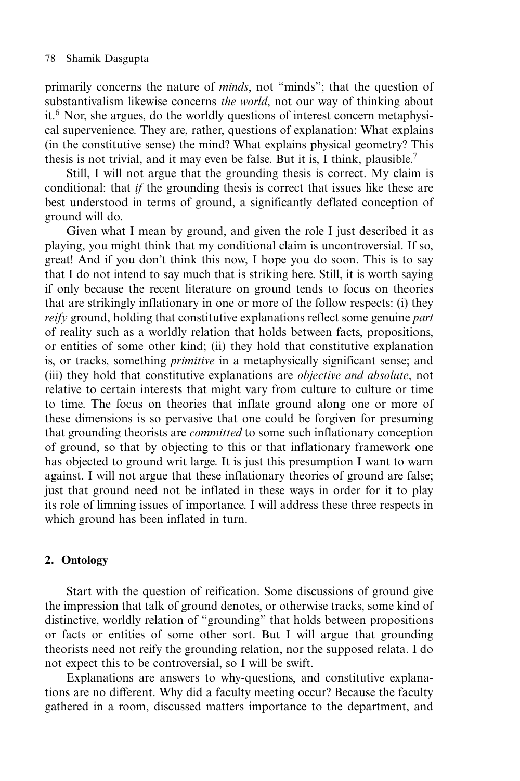primarily concerns the nature of *minds*, not "minds"; that the question of substantivalism likewise concerns *the world*, not our way of thinking about  $it<sup>6</sup>$  Nor, she argues, do the worldly questions of interest concern metaphysical supervenience. They are, rather, questions of explanation: What explains (in the constitutive sense) the mind? What explains physical geometry? This thesis is not trivial, and it may even be false. But it is, I think, plausible.<sup>7</sup>

Still, I will not argue that the grounding thesis is correct. My claim is conditional: that *if* the grounding thesis is correct that issues like these are best understood in terms of ground, a significantly deflated conception of ground will do.

Given what I mean by ground, and given the role I just described it as playing, you might think that my conditional claim is uncontroversial. If so, great! And if you don't think this now, I hope you do soon. This is to say that I do not intend to say much that is striking here. Still, it is worth saying if only because the recent literature on ground tends to focus on theories that are strikingly inflationary in one or more of the follow respects: (i) they *reify* ground, holding that constitutive explanations reflect some genuine *part* of reality such as a worldly relation that holds between facts, propositions, or entities of some other kind; (ii) they hold that constitutive explanation is, or tracks, something *primitive* in a metaphysically significant sense; and (iii) they hold that constitutive explanations are *objective and absolute*, not relative to certain interests that might vary from culture to culture or time to time. The focus on theories that inflate ground along one or more of these dimensions is so pervasive that one could be forgiven for presuming that grounding theorists are *committed* to some such inflationary conception of ground, so that by objecting to this or that inflationary framework one has objected to ground writ large. It is just this presumption I want to warn against. I will not argue that these inflationary theories of ground are false; just that ground need not be inflated in these ways in order for it to play its role of limning issues of importance. I will address these three respects in which ground has been inflated in turn.

## **2. Ontology**

Start with the question of reification. Some discussions of ground give the impression that talk of ground denotes, or otherwise tracks, some kind of distinctive, worldly relation of "grounding" that holds between propositions or facts or entities of some other sort. But I will argue that grounding theorists need not reify the grounding relation, nor the supposed relata. I do not expect this to be controversial, so I will be swift.

Explanations are answers to why-questions, and constitutive explanations are no different. Why did a faculty meeting occur? Because the faculty gathered in a room, discussed matters importance to the department, and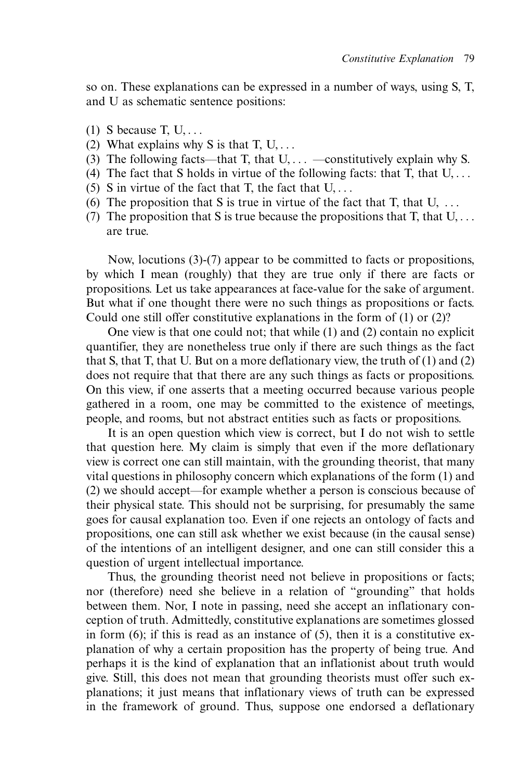so on. These explanations can be expressed in a number of ways, using S, T, and U as schematic sentence positions:

- (1) S because T,  $U, \ldots$
- (2) What explains why S is that T,  $U, \ldots$
- (3) The following facts—that T, that  $U, \ldots$  —constitutively explain why S.
- (4) The fact that S holds in virtue of the following facts: that  $T$ , that  $U$ ,...
- (5) S in virtue of the fact that T, the fact that  $U, \ldots$
- (6) The proposition that S is true in virtue of the fact that T, that  $U, \ldots$
- (7) The proposition that S is true because the propositions that  $T$ , that  $U$ ,... are true.

Now, locutions (3)-(7) appear to be committed to facts or propositions, by which I mean (roughly) that they are true only if there are facts or propositions. Let us take appearances at face-value for the sake of argument. But what if one thought there were no such things as propositions or facts. Could one still offer constitutive explanations in the form of (1) or (2)?

One view is that one could not; that while (1) and (2) contain no explicit quantifier, they are nonetheless true only if there are such things as the fact that S, that T, that U. But on a more deflationary view, the truth of (1) and (2) does not require that that there are any such things as facts or propositions. On this view, if one asserts that a meeting occurred because various people gathered in a room, one may be committed to the existence of meetings, people, and rooms, but not abstract entities such as facts or propositions.

It is an open question which view is correct, but I do not wish to settle that question here. My claim is simply that even if the more deflationary view is correct one can still maintain, with the grounding theorist, that many vital questions in philosophy concern which explanations of the form (1) and (2) we should accept—for example whether a person is conscious because of their physical state. This should not be surprising, for presumably the same goes for causal explanation too. Even if one rejects an ontology of facts and propositions, one can still ask whether we exist because (in the causal sense) of the intentions of an intelligent designer, and one can still consider this a question of urgent intellectual importance.

Thus, the grounding theorist need not believe in propositions or facts; nor (therefore) need she believe in a relation of "grounding" that holds between them. Nor, I note in passing, need she accept an inflationary conception of truth. Admittedly, constitutive explanations are sometimes glossed in form (6); if this is read as an instance of (5), then it is a constitutive explanation of why a certain proposition has the property of being true. And perhaps it is the kind of explanation that an inflationist about truth would give. Still, this does not mean that grounding theorists must offer such explanations; it just means that inflationary views of truth can be expressed in the framework of ground. Thus, suppose one endorsed a deflationary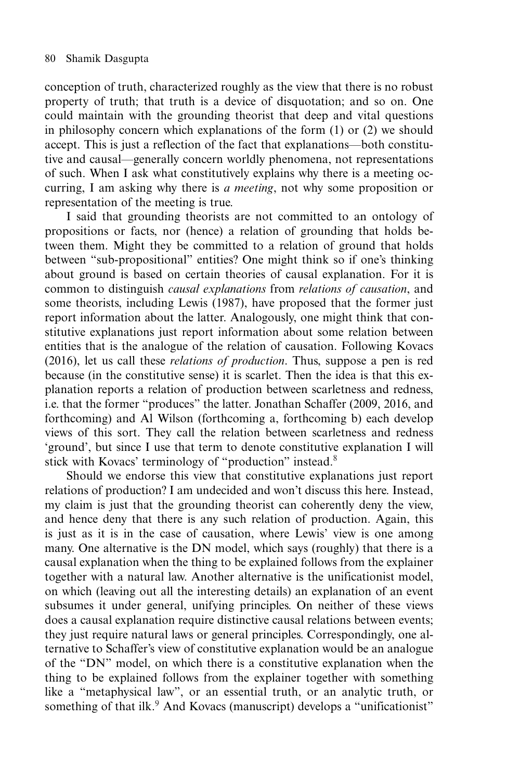conception of truth, characterized roughly as the view that there is no robust property of truth; that truth is a device of disquotation; and so on. One could maintain with the grounding theorist that deep and vital questions in philosophy concern which explanations of the form (1) or (2) we should accept. This is just a reflection of the fact that explanations—both constitutive and causal—generally concern worldly phenomena, not representations of such. When I ask what constitutively explains why there is a meeting occurring, I am asking why there is *a meeting*, not why some proposition or representation of the meeting is true.

I said that grounding theorists are not committed to an ontology of propositions or facts, nor (hence) a relation of grounding that holds between them. Might they be committed to a relation of ground that holds between "sub-propositional" entities? One might think so if one's thinking about ground is based on certain theories of causal explanation. For it is common to distinguish *causal explanations* from *relations of causation*, and some theorists, including Lewis (1987), have proposed that the former just report information about the latter. Analogously, one might think that constitutive explanations just report information about some relation between entities that is the analogue of the relation of causation. Following Kovacs (2016), let us call these *relations of production*. Thus, suppose a pen is red because (in the constitutive sense) it is scarlet. Then the idea is that this explanation reports a relation of production between scarletness and redness, i.e. that the former "produces" the latter. Jonathan Schaffer (2009, 2016, and forthcoming) and Al Wilson (forthcoming a, forthcoming b) each develop views of this sort. They call the relation between scarletness and redness 'ground', but since I use that term to denote constitutive explanation I will stick with Kovacs' terminology of "production" instead.<sup>8</sup>

Should we endorse this view that constitutive explanations just report relations of production? I am undecided and won't discuss this here. Instead, my claim is just that the grounding theorist can coherently deny the view, and hence deny that there is any such relation of production. Again, this is just as it is in the case of causation, where Lewis' view is one among many. One alternative is the DN model, which says (roughly) that there is a causal explanation when the thing to be explained follows from the explainer together with a natural law. Another alternative is the unificationist model, on which (leaving out all the interesting details) an explanation of an event subsumes it under general, unifying principles. On neither of these views does a causal explanation require distinctive causal relations between events; they just require natural laws or general principles. Correspondingly, one alternative to Schaffer's view of constitutive explanation would be an analogue of the "DN" model, on which there is a constitutive explanation when the thing to be explained follows from the explainer together with something like a "metaphysical law", or an essential truth, or an analytic truth, or something of that ilk. $9$  And Kovacs (manuscript) develops a "unificationist"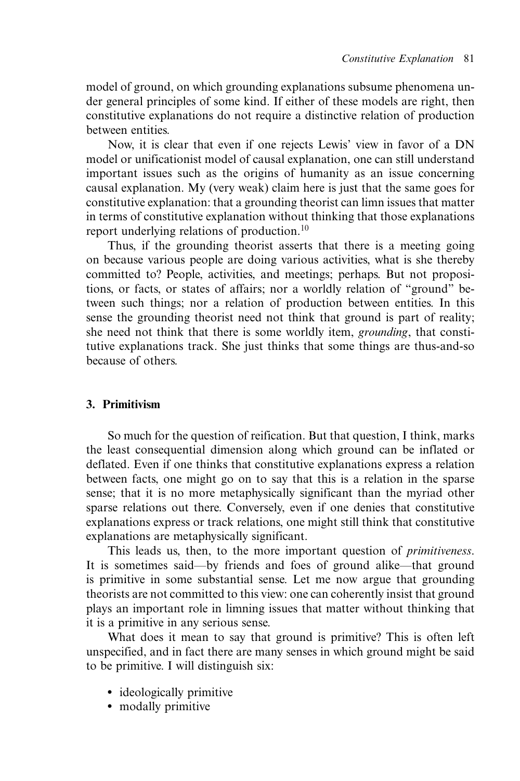model of ground, on which grounding explanations subsume phenomena under general principles of some kind. If either of these models are right, then constitutive explanations do not require a distinctive relation of production between entities.

Now, it is clear that even if one rejects Lewis' view in favor of a DN model or unificationist model of causal explanation, one can still understand important issues such as the origins of humanity as an issue concerning causal explanation. My (very weak) claim here is just that the same goes for constitutive explanation: that a grounding theorist can limn issues that matter in terms of constitutive explanation without thinking that those explanations report underlying relations of production.<sup>10</sup>

Thus, if the grounding theorist asserts that there is a meeting going on because various people are doing various activities, what is she thereby committed to? People, activities, and meetings; perhaps. But not propositions, or facts, or states of affairs; nor a worldly relation of "ground" between such things; nor a relation of production between entities. In this sense the grounding theorist need not think that ground is part of reality; she need not think that there is some worldly item, *grounding*, that constitutive explanations track. She just thinks that some things are thus-and-so because of others.

# **3. Primitivism**

So much for the question of reification. But that question, I think, marks the least consequential dimension along which ground can be inflated or deflated. Even if one thinks that constitutive explanations express a relation between facts, one might go on to say that this is a relation in the sparse sense; that it is no more metaphysically significant than the myriad other sparse relations out there. Conversely, even if one denies that constitutive explanations express or track relations, one might still think that constitutive explanations are metaphysically significant.

This leads us, then, to the more important question of *primitiveness*. It is sometimes said—by friends and foes of ground alike—that ground is primitive in some substantial sense. Let me now argue that grounding theorists are not committed to this view: one can coherently insist that ground plays an important role in limning issues that matter without thinking that it is a primitive in any serious sense.

What does it mean to say that ground is primitive? This is often left unspecified, and in fact there are many senses in which ground might be said to be primitive. I will distinguish six:

- ideologically primitive
- modally primitive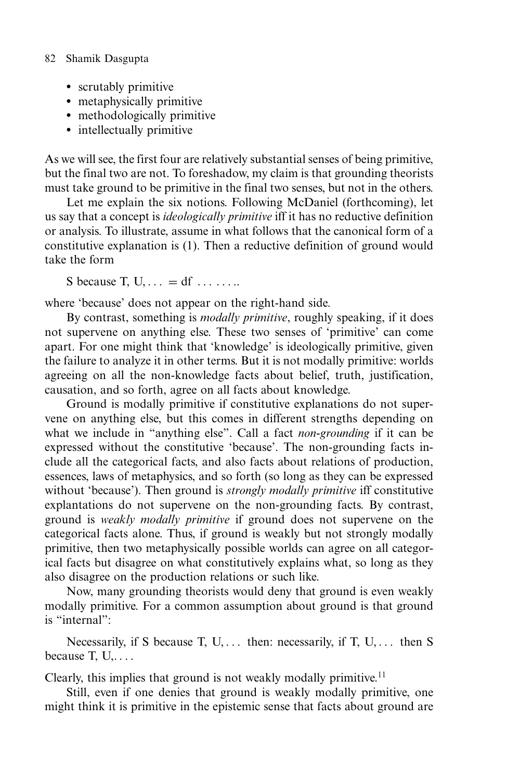## 82 Shamik Dasgupta

- scrutably primitive
- metaphysically primitive
- methodologically primitive
- intellectually primitive

As we will see, the first four are relatively substantial senses of being primitive, but the final two are not. To foreshadow, my claim is that grounding theorists must take ground to be primitive in the final two senses, but not in the others.

Let me explain the six notions. Following McDaniel (forthcoming), let us say that a concept is *ideologically primitive* iff it has no reductive definition or analysis. To illustrate, assume in what follows that the canonical form of a constitutive explanation is (1). Then a reductive definition of ground would take the form

S because T,  $U_{i+1} = df_{i+1} \ldots$ 

where 'because' does not appear on the right-hand side.

By contrast, something is *modally primitive*, roughly speaking, if it does not supervene on anything else. These two senses of 'primitive' can come apart. For one might think that 'knowledge' is ideologically primitive, given the failure to analyze it in other terms. But it is not modally primitive: worlds agreeing on all the non-knowledge facts about belief, truth, justification, causation, and so forth, agree on all facts about knowledge.

Ground is modally primitive if constitutive explanations do not supervene on anything else, but this comes in different strengths depending on what we include in "anything else". Call a fact *non-grounding* if it can be expressed without the constitutive 'because'. The non-grounding facts include all the categorical facts, and also facts about relations of production, essences, laws of metaphysics, and so forth (so long as they can be expressed without 'because'). Then ground is *strongly modally primitive* iff constitutive explantations do not supervene on the non-grounding facts. By contrast, ground is *weakly modally primitive* if ground does not supervene on the categorical facts alone. Thus, if ground is weakly but not strongly modally primitive, then two metaphysically possible worlds can agree on all categorical facts but disagree on what constitutively explains what, so long as they also disagree on the production relations or such like.

Now, many grounding theorists would deny that ground is even weakly modally primitive. For a common assumption about ground is that ground is "internal":

Necessarily, if S because T,  $U, \ldots$  then: necessarily, if T,  $U, \ldots$  then S because T, U, ...

Clearly, this implies that ground is not weakly modally primitive.<sup>11</sup>

Still, even if one denies that ground is weakly modally primitive, one might think it is primitive in the epistemic sense that facts about ground are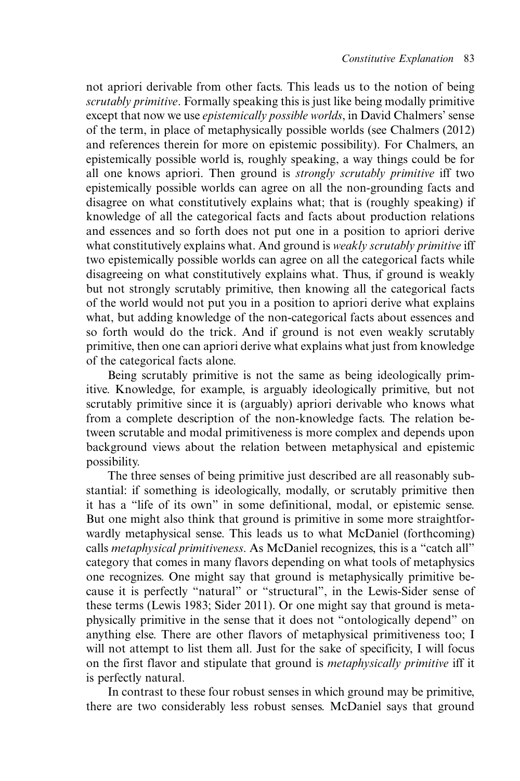not apriori derivable from other facts. This leads us to the notion of being *scrutably primitive*. Formally speaking this is just like being modally primitive except that now we use *epistemically possible worlds*, in David Chalmers' sense of the term, in place of metaphysically possible worlds (see Chalmers (2012) and references therein for more on epistemic possibility). For Chalmers, an epistemically possible world is, roughly speaking, a way things could be for all one knows apriori. Then ground is *strongly scrutably primitive* iff two epistemically possible worlds can agree on all the non-grounding facts and disagree on what constitutively explains what; that is (roughly speaking) if knowledge of all the categorical facts and facts about production relations and essences and so forth does not put one in a position to apriori derive what constitutively explains what. And ground is *weakly scrutably primitive* iff two epistemically possible worlds can agree on all the categorical facts while disagreeing on what constitutively explains what. Thus, if ground is weakly but not strongly scrutably primitive, then knowing all the categorical facts of the world would not put you in a position to apriori derive what explains what, but adding knowledge of the non-categorical facts about essences and so forth would do the trick. And if ground is not even weakly scrutably primitive, then one can apriori derive what explains what just from knowledge of the categorical facts alone.

Being scrutably primitive is not the same as being ideologically primitive. Knowledge, for example, is arguably ideologically primitive, but not scrutably primitive since it is (arguably) apriori derivable who knows what from a complete description of the non-knowledge facts. The relation between scrutable and modal primitiveness is more complex and depends upon background views about the relation between metaphysical and epistemic possibility.

The three senses of being primitive just described are all reasonably substantial: if something is ideologically, modally, or scrutably primitive then it has a "life of its own" in some definitional, modal, or epistemic sense. But one might also think that ground is primitive in some more straightforwardly metaphysical sense. This leads us to what McDaniel (forthcoming) calls *metaphysical primitiveness*. As McDaniel recognizes, this is a "catch all" category that comes in many flavors depending on what tools of metaphysics one recognizes. One might say that ground is metaphysically primitive because it is perfectly "natural" or "structural", in the Lewis-Sider sense of these terms (Lewis 1983; Sider 2011). Or one might say that ground is metaphysically primitive in the sense that it does not "ontologically depend" on anything else. There are other flavors of metaphysical primitiveness too; I will not attempt to list them all. Just for the sake of specificity, I will focus on the first flavor and stipulate that ground is *metaphysically primitive* iff it is perfectly natural.

In contrast to these four robust senses in which ground may be primitive, there are two considerably less robust senses. McDaniel says that ground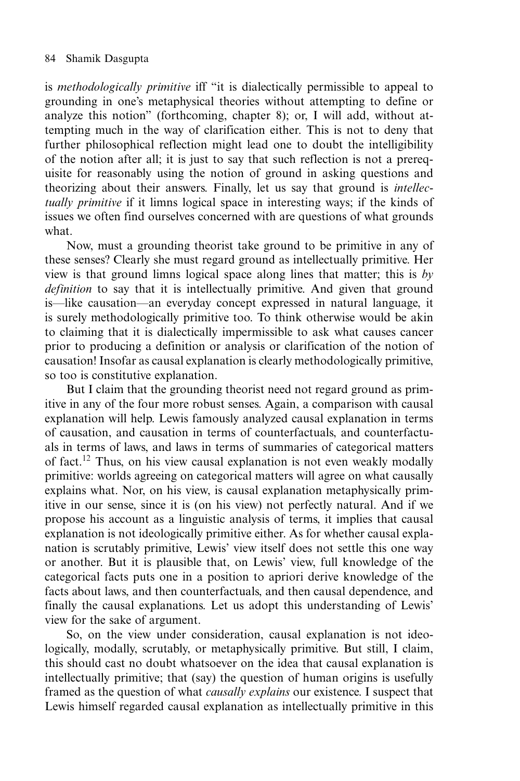is *methodologically primitive* iff "it is dialectically permissible to appeal to grounding in one's metaphysical theories without attempting to define or analyze this notion" (forthcoming, chapter 8); or, I will add, without attempting much in the way of clarification either. This is not to deny that further philosophical reflection might lead one to doubt the intelligibility of the notion after all; it is just to say that such reflection is not a prerequisite for reasonably using the notion of ground in asking questions and theorizing about their answers. Finally, let us say that ground is *intellectually primitive* if it limns logical space in interesting ways; if the kinds of issues we often find ourselves concerned with are questions of what grounds what.

Now, must a grounding theorist take ground to be primitive in any of these senses? Clearly she must regard ground as intellectually primitive. Her view is that ground limns logical space along lines that matter; this is *by definition* to say that it is intellectually primitive. And given that ground is—like causation—an everyday concept expressed in natural language, it is surely methodologically primitive too. To think otherwise would be akin to claiming that it is dialectically impermissible to ask what causes cancer prior to producing a definition or analysis or clarification of the notion of causation! Insofar as causal explanation is clearly methodologically primitive, so too is constitutive explanation.

But I claim that the grounding theorist need not regard ground as primitive in any of the four more robust senses. Again, a comparison with causal explanation will help. Lewis famously analyzed causal explanation in terms of causation, and causation in terms of counterfactuals, and counterfactuals in terms of laws, and laws in terms of summaries of categorical matters of fact.<sup>12</sup> Thus, on his view causal explanation is not even weakly modally primitive: worlds agreeing on categorical matters will agree on what causally explains what. Nor, on his view, is causal explanation metaphysically primitive in our sense, since it is (on his view) not perfectly natural. And if we propose his account as a linguistic analysis of terms, it implies that causal explanation is not ideologically primitive either. As for whether causal explanation is scrutably primitive, Lewis' view itself does not settle this one way or another. But it is plausible that, on Lewis' view, full knowledge of the categorical facts puts one in a position to apriori derive knowledge of the facts about laws, and then counterfactuals, and then causal dependence, and finally the causal explanations. Let us adopt this understanding of Lewis' view for the sake of argument.

So, on the view under consideration, causal explanation is not ideologically, modally, scrutably, or metaphysically primitive. But still, I claim, this should cast no doubt whatsoever on the idea that causal explanation is intellectually primitive; that (say) the question of human origins is usefully framed as the question of what *causally explains* our existence. I suspect that Lewis himself regarded causal explanation as intellectually primitive in this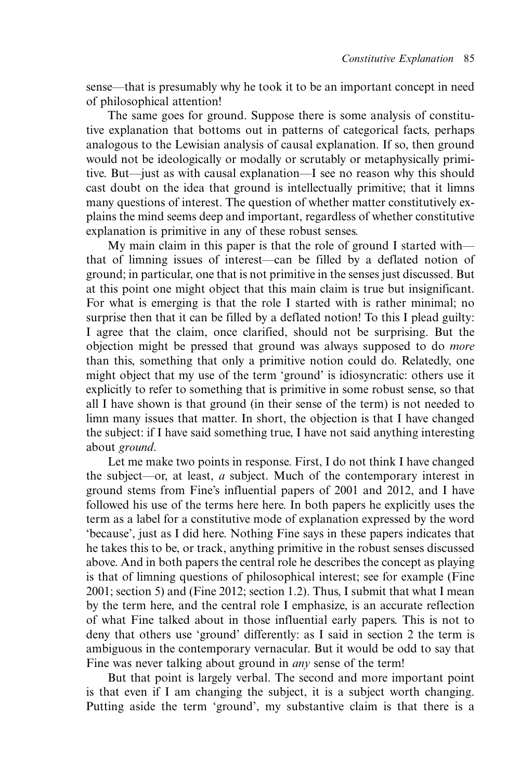sense—that is presumably why he took it to be an important concept in need of philosophical attention!

The same goes for ground. Suppose there is some analysis of constitutive explanation that bottoms out in patterns of categorical facts, perhaps analogous to the Lewisian analysis of causal explanation. If so, then ground would not be ideologically or modally or scrutably or metaphysically primitive. But—just as with causal explanation—I see no reason why this should cast doubt on the idea that ground is intellectually primitive; that it limns many questions of interest. The question of whether matter constitutively explains the mind seems deep and important, regardless of whether constitutive explanation is primitive in any of these robust senses.

My main claim in this paper is that the role of ground I started with that of limning issues of interest—can be filled by a deflated notion of ground; in particular, one that is not primitive in the senses just discussed. But at this point one might object that this main claim is true but insignificant. For what is emerging is that the role I started with is rather minimal; no surprise then that it can be filled by a deflated notion! To this I plead guilty: I agree that the claim, once clarified, should not be surprising. But the objection might be pressed that ground was always supposed to do *more* than this, something that only a primitive notion could do. Relatedly, one might object that my use of the term 'ground' is idiosyncratic: others use it explicitly to refer to something that is primitive in some robust sense, so that all I have shown is that ground (in their sense of the term) is not needed to limn many issues that matter. In short, the objection is that I have changed the subject: if I have said something true, I have not said anything interesting about *ground*.

Let me make two points in response. First, I do not think I have changed the subject—or, at least, *a* subject. Much of the contemporary interest in ground stems from Fine's influential papers of 2001 and 2012, and I have followed his use of the terms here here. In both papers he explicitly uses the term as a label for a constitutive mode of explanation expressed by the word 'because', just as I did here. Nothing Fine says in these papers indicates that he takes this to be, or track, anything primitive in the robust senses discussed above. And in both papers the central role he describes the concept as playing is that of limning questions of philosophical interest; see for example (Fine 2001; section 5) and (Fine 2012; section 1.2). Thus, I submit that what I mean by the term here, and the central role I emphasize, is an accurate reflection of what Fine talked about in those influential early papers. This is not to deny that others use 'ground' differently: as I said in section 2 the term is ambiguous in the contemporary vernacular. But it would be odd to say that Fine was never talking about ground in *any* sense of the term!

But that point is largely verbal. The second and more important point is that even if I am changing the subject, it is a subject worth changing. Putting aside the term 'ground', my substantive claim is that there is a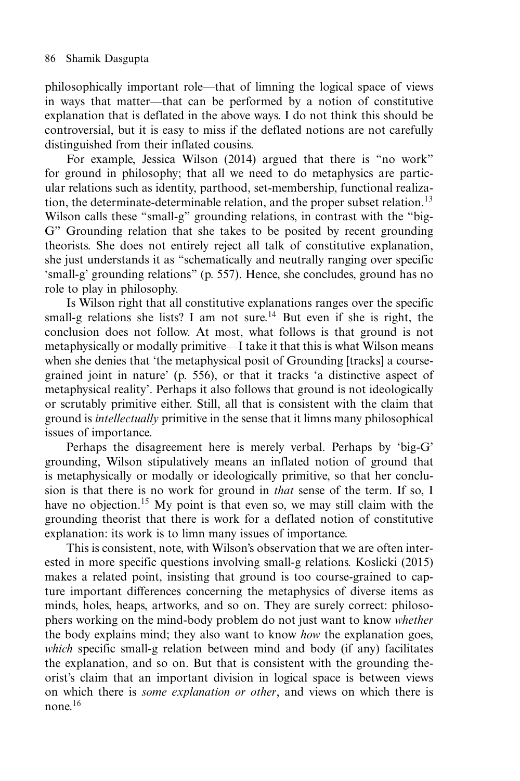philosophically important role—that of limning the logical space of views in ways that matter—that can be performed by a notion of constitutive explanation that is deflated in the above ways. I do not think this should be controversial, but it is easy to miss if the deflated notions are not carefully distinguished from their inflated cousins.

For example, Jessica Wilson (2014) argued that there is "no work" for ground in philosophy; that all we need to do metaphysics are particular relations such as identity, parthood, set-membership, functional realization, the determinate-determinable relation, and the proper subset relation.<sup>13</sup> Wilson calls these "small-g" grounding relations, in contrast with the "big-G" Grounding relation that she takes to be posited by recent grounding theorists. She does not entirely reject all talk of constitutive explanation, she just understands it as "schematically and neutrally ranging over specific 'small-g' grounding relations" (p. 557). Hence, she concludes, ground has no role to play in philosophy.

Is Wilson right that all constitutive explanations ranges over the specific small-g relations she lists? I am not sure.<sup>14</sup> But even if she is right, the conclusion does not follow. At most, what follows is that ground is not metaphysically or modally primitive—I take it that this is what Wilson means when she denies that 'the metaphysical posit of Grounding [tracks] a coursegrained joint in nature' (p. 556), or that it tracks 'a distinctive aspect of metaphysical reality'. Perhaps it also follows that ground is not ideologically or scrutably primitive either. Still, all that is consistent with the claim that ground is *intellectually* primitive in the sense that it limns many philosophical issues of importance.

Perhaps the disagreement here is merely verbal. Perhaps by 'big-G' grounding, Wilson stipulatively means an inflated notion of ground that is metaphysically or modally or ideologically primitive, so that her conclusion is that there is no work for ground in *that* sense of the term. If so, I have no objection.<sup>15</sup> My point is that even so, we may still claim with the grounding theorist that there is work for a deflated notion of constitutive explanation: its work is to limn many issues of importance.

This is consistent, note, with Wilson's observation that we are often interested in more specific questions involving small-g relations. Koslicki (2015) makes a related point, insisting that ground is too course-grained to capture important differences concerning the metaphysics of diverse items as minds, holes, heaps, artworks, and so on. They are surely correct: philosophers working on the mind-body problem do not just want to know *whether* the body explains mind; they also want to know *how* the explanation goes, *which* specific small-g relation between mind and body (if any) facilitates the explanation, and so on. But that is consistent with the grounding theorist's claim that an important division in logical space is between views on which there is *some explanation or other*, and views on which there is none.<sup>16</sup>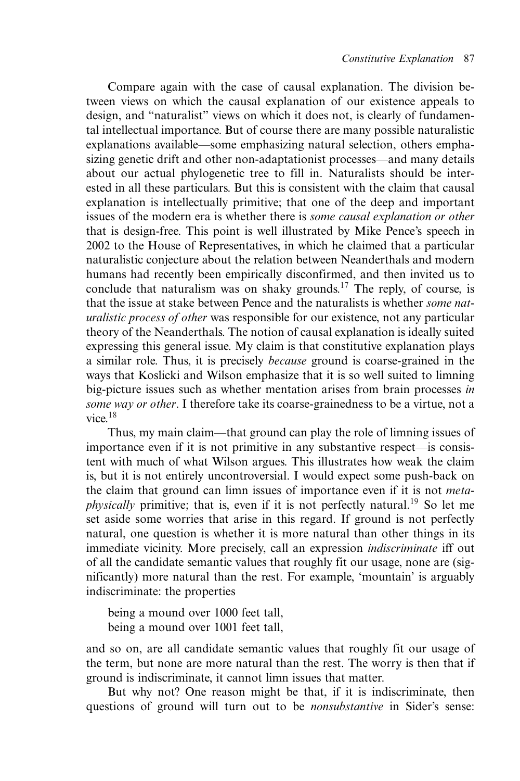Compare again with the case of causal explanation. The division between views on which the causal explanation of our existence appeals to design, and "naturalist" views on which it does not, is clearly of fundamental intellectual importance. But of course there are many possible naturalistic explanations available—some emphasizing natural selection, others emphasizing genetic drift and other non-adaptationist processes—and many details about our actual phylogenetic tree to fill in. Naturalists should be interested in all these particulars. But this is consistent with the claim that causal explanation is intellectually primitive; that one of the deep and important issues of the modern era is whether there is *some causal explanation or other* that is design-free. This point is well illustrated by Mike Pence's speech in 2002 to the House of Representatives, in which he claimed that a particular naturalistic conjecture about the relation between Neanderthals and modern humans had recently been empirically disconfirmed, and then invited us to conclude that naturalism was on shaky grounds.<sup>17</sup> The reply, of course, is that the issue at stake between Pence and the naturalists is whether *some naturalistic process of other* was responsible for our existence, not any particular theory of the Neanderthals. The notion of causal explanation is ideally suited expressing this general issue. My claim is that constitutive explanation plays a similar role. Thus, it is precisely *because* ground is coarse-grained in the ways that Koslicki and Wilson emphasize that it is so well suited to limning big-picture issues such as whether mentation arises from brain processes *in some way or other*. I therefore take its coarse-grainedness to be a virtue, not a vice.<sup>18</sup>

Thus, my main claim—that ground can play the role of limning issues of importance even if it is not primitive in any substantive respect—is consistent with much of what Wilson argues. This illustrates how weak the claim is, but it is not entirely uncontroversial. I would expect some push-back on the claim that ground can limn issues of importance even if it is not *metaphysically* primitive; that is, even if it is not perfectly natural.<sup>19</sup> So let me set aside some worries that arise in this regard. If ground is not perfectly natural, one question is whether it is more natural than other things in its immediate vicinity. More precisely, call an expression *indiscriminate* iff out of all the candidate semantic values that roughly fit our usage, none are (significantly) more natural than the rest. For example, 'mountain' is arguably indiscriminate: the properties

being a mound over 1000 feet tall, being a mound over 1001 feet tall,

and so on, are all candidate semantic values that roughly fit our usage of the term, but none are more natural than the rest. The worry is then that if ground is indiscriminate, it cannot limn issues that matter.

But why not? One reason might be that, if it is indiscriminate, then questions of ground will turn out to be *nonsubstantive* in Sider's sense: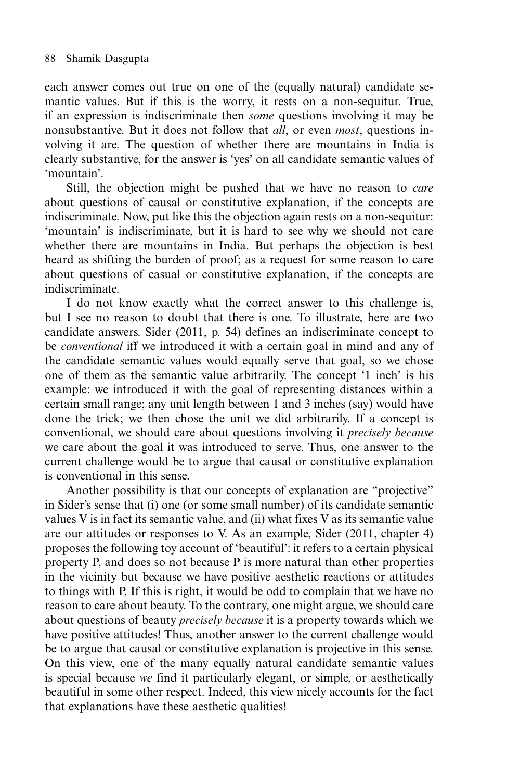each answer comes out true on one of the (equally natural) candidate semantic values. But if this is the worry, it rests on a non-sequitur. True, if an expression is indiscriminate then *some* questions involving it may be nonsubstantive. But it does not follow that *all*, or even *most*, questions involving it are. The question of whether there are mountains in India is clearly substantive, for the answer is 'yes' on all candidate semantic values of 'mountain'.

Still, the objection might be pushed that we have no reason to *care* about questions of causal or constitutive explanation, if the concepts are indiscriminate. Now, put like this the objection again rests on a non-sequitur: 'mountain' is indiscriminate, but it is hard to see why we should not care whether there are mountains in India. But perhaps the objection is best heard as shifting the burden of proof; as a request for some reason to care about questions of casual or constitutive explanation, if the concepts are indiscriminate.

I do not know exactly what the correct answer to this challenge is, but I see no reason to doubt that there is one. To illustrate, here are two candidate answers. Sider (2011, p. 54) defines an indiscriminate concept to be *conventional* iff we introduced it with a certain goal in mind and any of the candidate semantic values would equally serve that goal, so we chose one of them as the semantic value arbitrarily. The concept '1 inch' is his example: we introduced it with the goal of representing distances within a certain small range; any unit length between 1 and 3 inches (say) would have done the trick; we then chose the unit we did arbitrarily. If a concept is conventional, we should care about questions involving it *precisely because* we care about the goal it was introduced to serve. Thus, one answer to the current challenge would be to argue that causal or constitutive explanation is conventional in this sense.

Another possibility is that our concepts of explanation are "projective" in Sider's sense that (i) one (or some small number) of its candidate semantic values V is in fact its semantic value, and (ii) what fixes V as its semantic value are our attitudes or responses to V. As an example, Sider (2011, chapter 4) proposes the following toy account of 'beautiful': it refers to a certain physical property P, and does so not because P is more natural than other properties in the vicinity but because we have positive aesthetic reactions or attitudes to things with P. If this is right, it would be odd to complain that we have no reason to care about beauty. To the contrary, one might argue, we should care about questions of beauty *precisely because* it is a property towards which we have positive attitudes! Thus, another answer to the current challenge would be to argue that causal or constitutive explanation is projective in this sense. On this view, one of the many equally natural candidate semantic values is special because *we* find it particularly elegant, or simple, or aesthetically beautiful in some other respect. Indeed, this view nicely accounts for the fact that explanations have these aesthetic qualities!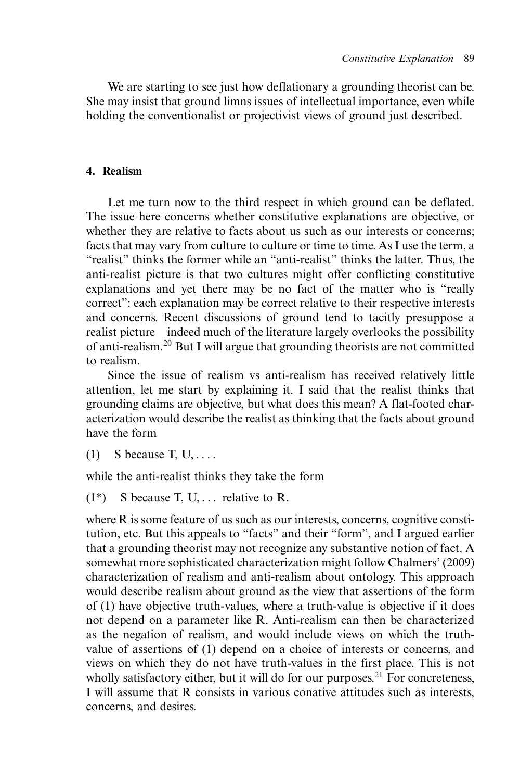We are starting to see just how deflationary a grounding theorist can be. She may insist that ground limns issues of intellectual importance, even while holding the conventionalist or projectivist views of ground just described.

# **4. Realism**

Let me turn now to the third respect in which ground can be deflated. The issue here concerns whether constitutive explanations are objective, or whether they are relative to facts about us such as our interests or concerns; facts that may vary from culture to culture or time to time. As I use the term, a "realist" thinks the former while an "anti-realist" thinks the latter. Thus, the anti-realist picture is that two cultures might offer conflicting constitutive explanations and yet there may be no fact of the matter who is "really correct": each explanation may be correct relative to their respective interests and concerns. Recent discussions of ground tend to tacitly presuppose a realist picture—indeed much of the literature largely overlooks the possibility of anti-realism.20 But I will argue that grounding theorists are not committed to realism.

Since the issue of realism vs anti-realism has received relatively little attention, let me start by explaining it. I said that the realist thinks that grounding claims are objective, but what does this mean? A flat-footed characterization would describe the realist as thinking that the facts about ground have the form

 $(1)$  S because T, U, ...

while the anti-realist thinks they take the form

```
(1^*) S because T, U, ... relative to R.
```
where R is some feature of us such as our interests, concerns, cognitive constitution, etc. But this appeals to "facts" and their "form", and I argued earlier that a grounding theorist may not recognize any substantive notion of fact. A somewhat more sophisticated characterization might follow Chalmers' (2009) characterization of realism and anti-realism about ontology. This approach would describe realism about ground as the view that assertions of the form of (1) have objective truth-values, where a truth-value is objective if it does not depend on a parameter like R. Anti-realism can then be characterized as the negation of realism, and would include views on which the truthvalue of assertions of (1) depend on a choice of interests or concerns, and views on which they do not have truth-values in the first place. This is not wholly satisfactory either, but it will do for our purposes.<sup>21</sup> For concreteness, I will assume that R consists in various conative attitudes such as interests, concerns, and desires.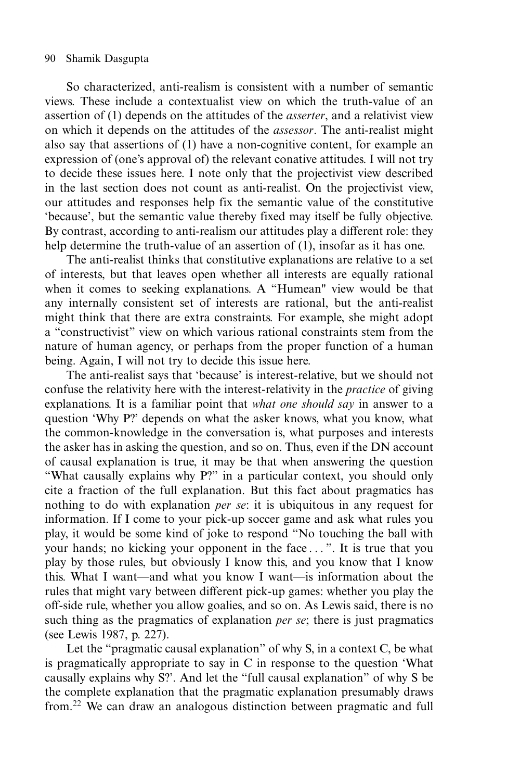### 90 Shamik Dasgupta

So characterized, anti-realism is consistent with a number of semantic views. These include a contextualist view on which the truth-value of an assertion of (1) depends on the attitudes of the *asserter*, and a relativist view on which it depends on the attitudes of the *assessor*. The anti-realist might also say that assertions of (1) have a non-cognitive content, for example an expression of (one's approval of) the relevant conative attitudes. I will not try to decide these issues here. I note only that the projectivist view described in the last section does not count as anti-realist. On the projectivist view, our attitudes and responses help fix the semantic value of the constitutive 'because', but the semantic value thereby fixed may itself be fully objective. By contrast, according to anti-realism our attitudes play a different role: they help determine the truth-value of an assertion of (1), insofar as it has one.

The anti-realist thinks that constitutive explanations are relative to a set of interests, but that leaves open whether all interests are equally rational when it comes to seeking explanations. A "Humean" view would be that any internally consistent set of interests are rational, but the anti-realist might think that there are extra constraints. For example, she might adopt a "constructivist" view on which various rational constraints stem from the nature of human agency, or perhaps from the proper function of a human being. Again, I will not try to decide this issue here.

The anti-realist says that 'because' is interest-relative, but we should not confuse the relativity here with the interest-relativity in the *practice* of giving explanations. It is a familiar point that *what one should say* in answer to a question 'Why P?' depends on what the asker knows, what you know, what the common-knowledge in the conversation is, what purposes and interests the asker has in asking the question, and so on. Thus, even if the DN account of causal explanation is true, it may be that when answering the question "What causally explains why P?" in a particular context, you should only cite a fraction of the full explanation. But this fact about pragmatics has nothing to do with explanation *per se*: it is ubiquitous in any request for information. If I come to your pick-up soccer game and ask what rules you play, it would be some kind of joke to respond "No touching the ball with your hands; no kicking your opponent in the face . . . ". It is true that you play by those rules, but obviously I know this, and you know that I know this. What I want—and what you know I want—is information about the rules that might vary between different pick-up games: whether you play the off-side rule, whether you allow goalies, and so on. As Lewis said, there is no such thing as the pragmatics of explanation *per se*; there is just pragmatics (see Lewis 1987, p. 227).

Let the "pragmatic causal explanation" of why S, in a context C, be what is pragmatically appropriate to say in C in response to the question 'What causally explains why S?'. And let the "full causal explanation" of why S be the complete explanation that the pragmatic explanation presumably draws from.<sup>22</sup> We can draw an analogous distinction between pragmatic and full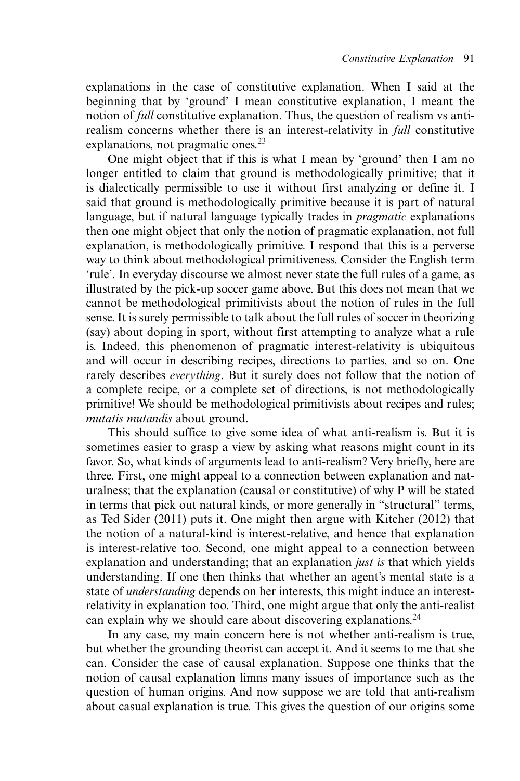explanations in the case of constitutive explanation. When I said at the beginning that by 'ground' I mean constitutive explanation, I meant the notion of *full* constitutive explanation. Thus, the question of realism vs antirealism concerns whether there is an interest-relativity in *full* constitutive explanations, not pragmatic ones.<sup>23</sup>

One might object that if this is what I mean by 'ground' then I am no longer entitled to claim that ground is methodologically primitive; that it is dialectically permissible to use it without first analyzing or define it. I said that ground is methodologically primitive because it is part of natural language, but if natural language typically trades in *pragmatic* explanations then one might object that only the notion of pragmatic explanation, not full explanation, is methodologically primitive. I respond that this is a perverse way to think about methodological primitiveness. Consider the English term 'rule'. In everyday discourse we almost never state the full rules of a game, as illustrated by the pick-up soccer game above. But this does not mean that we cannot be methodological primitivists about the notion of rules in the full sense. It is surely permissible to talk about the full rules of soccer in theorizing (say) about doping in sport, without first attempting to analyze what a rule is. Indeed, this phenomenon of pragmatic interest-relativity is ubiquitous and will occur in describing recipes, directions to parties, and so on. One rarely describes *everything*. But it surely does not follow that the notion of a complete recipe, or a complete set of directions, is not methodologically primitive! We should be methodological primitivists about recipes and rules; *mutatis mutandis* about ground.

This should suffice to give some idea of what anti-realism is. But it is sometimes easier to grasp a view by asking what reasons might count in its favor. So, what kinds of arguments lead to anti-realism? Very briefly, here are three. First, one might appeal to a connection between explanation and naturalness; that the explanation (causal or constitutive) of why P will be stated in terms that pick out natural kinds, or more generally in "structural" terms, as Ted Sider (2011) puts it. One might then argue with Kitcher (2012) that the notion of a natural-kind is interest-relative, and hence that explanation is interest-relative too. Second, one might appeal to a connection between explanation and understanding; that an explanation *just is* that which yields understanding. If one then thinks that whether an agent's mental state is a state of *understanding* depends on her interests, this might induce an interestrelativity in explanation too. Third, one might argue that only the anti-realist can explain why we should care about discovering explanations.<sup>24</sup>

In any case, my main concern here is not whether anti-realism is true, but whether the grounding theorist can accept it. And it seems to me that she can. Consider the case of causal explanation. Suppose one thinks that the notion of causal explanation limns many issues of importance such as the question of human origins. And now suppose we are told that anti-realism about casual explanation is true. This gives the question of our origins some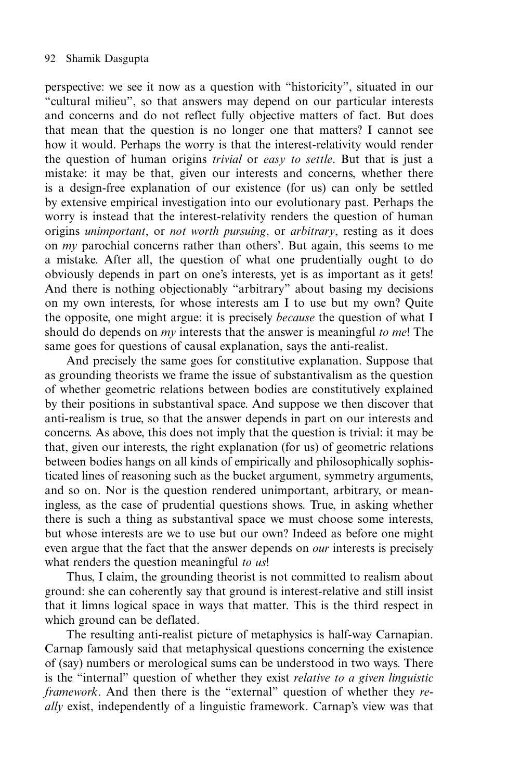perspective: we see it now as a question with "historicity", situated in our "cultural milieu", so that answers may depend on our particular interests and concerns and do not reflect fully objective matters of fact. But does that mean that the question is no longer one that matters? I cannot see how it would. Perhaps the worry is that the interest-relativity would render the question of human origins *trivial* or *easy to settle*. But that is just a mistake: it may be that, given our interests and concerns, whether there is a design-free explanation of our existence (for us) can only be settled by extensive empirical investigation into our evolutionary past. Perhaps the worry is instead that the interest-relativity renders the question of human origins *unimportant*, or *not worth pursuing*, or *arbitrary*, resting as it does on *my* parochial concerns rather than others'. But again, this seems to me a mistake. After all, the question of what one prudentially ought to do obviously depends in part on one's interests, yet is as important as it gets! And there is nothing objectionably "arbitrary" about basing my decisions on my own interests, for whose interests am I to use but my own? Quite the opposite, one might argue: it is precisely *because* the question of what I should do depends on *my* interests that the answer is meaningful *to me*! The same goes for questions of causal explanation, says the anti-realist.

And precisely the same goes for constitutive explanation. Suppose that as grounding theorists we frame the issue of substantivalism as the question of whether geometric relations between bodies are constitutively explained by their positions in substantival space. And suppose we then discover that anti-realism is true, so that the answer depends in part on our interests and concerns. As above, this does not imply that the question is trivial: it may be that, given our interests, the right explanation (for us) of geometric relations between bodies hangs on all kinds of empirically and philosophically sophisticated lines of reasoning such as the bucket argument, symmetry arguments, and so on. Nor is the question rendered unimportant, arbitrary, or meaningless, as the case of prudential questions shows. True, in asking whether there is such a thing as substantival space we must choose some interests, but whose interests are we to use but our own? Indeed as before one might even argue that the fact that the answer depends on *our* interests is precisely what renders the question meaningful *to us*!

Thus, I claim, the grounding theorist is not committed to realism about ground: she can coherently say that ground is interest-relative and still insist that it limns logical space in ways that matter. This is the third respect in which ground can be deflated.

The resulting anti-realist picture of metaphysics is half-way Carnapian. Carnap famously said that metaphysical questions concerning the existence of (say) numbers or merological sums can be understood in two ways. There is the "internal" question of whether they exist *relative to a given linguistic framework*. And then there is the "external" question of whether they *really* exist, independently of a linguistic framework. Carnap's view was that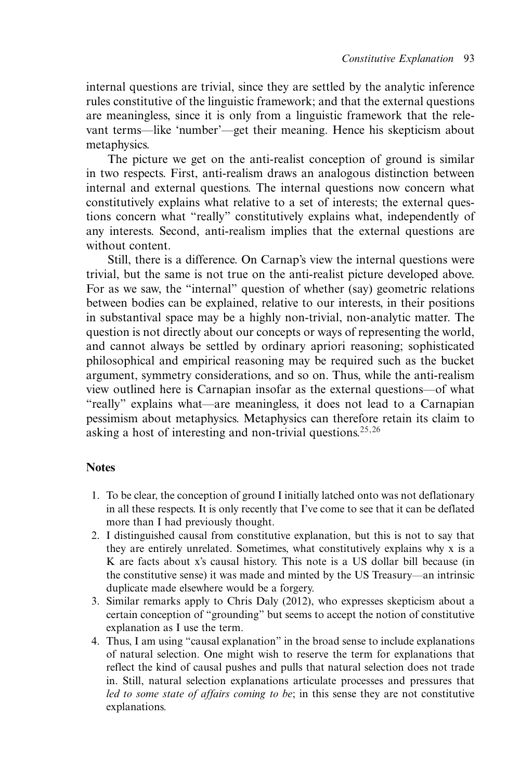internal questions are trivial, since they are settled by the analytic inference rules constitutive of the linguistic framework; and that the external questions are meaningless, since it is only from a linguistic framework that the relevant terms—like 'number'—get their meaning. Hence his skepticism about metaphysics.

The picture we get on the anti-realist conception of ground is similar in two respects. First, anti-realism draws an analogous distinction between internal and external questions. The internal questions now concern what constitutively explains what relative to a set of interests; the external questions concern what "really" constitutively explains what, independently of any interests. Second, anti-realism implies that the external questions are without content.

Still, there is a difference. On Carnap's view the internal questions were trivial, but the same is not true on the anti-realist picture developed above. For as we saw, the "internal" question of whether (say) geometric relations between bodies can be explained, relative to our interests, in their positions in substantival space may be a highly non-trivial, non-analytic matter. The question is not directly about our concepts or ways of representing the world, and cannot always be settled by ordinary apriori reasoning; sophisticated philosophical and empirical reasoning may be required such as the bucket argument, symmetry considerations, and so on. Thus, while the anti-realism view outlined here is Carnapian insofar as the external questions—of what "really" explains what—are meaningless, it does not lead to a Carnapian pessimism about metaphysics. Metaphysics can therefore retain its claim to asking a host of interesting and non-trivial questions.<sup>25,26</sup>

## **Notes**

- 1. To be clear, the conception of ground I initially latched onto was not deflationary in all these respects. It is only recently that I've come to see that it can be deflated more than I had previously thought.
- 2. I distinguished causal from constitutive explanation, but this is not to say that they are entirely unrelated. Sometimes, what constitutively explains why x is a K are facts about x's causal history. This note is a US dollar bill because (in the constitutive sense) it was made and minted by the US Treasury—an intrinsic duplicate made elsewhere would be a forgery.
- 3. Similar remarks apply to Chris Daly (2012), who expresses skepticism about a certain conception of "grounding" but seems to accept the notion of constitutive explanation as I use the term.
- 4. Thus, I am using "causal explanation" in the broad sense to include explanations of natural selection. One might wish to reserve the term for explanations that reflect the kind of causal pushes and pulls that natural selection does not trade in. Still, natural selection explanations articulate processes and pressures that *led to some state of affairs coming to be*; in this sense they are not constitutive explanations.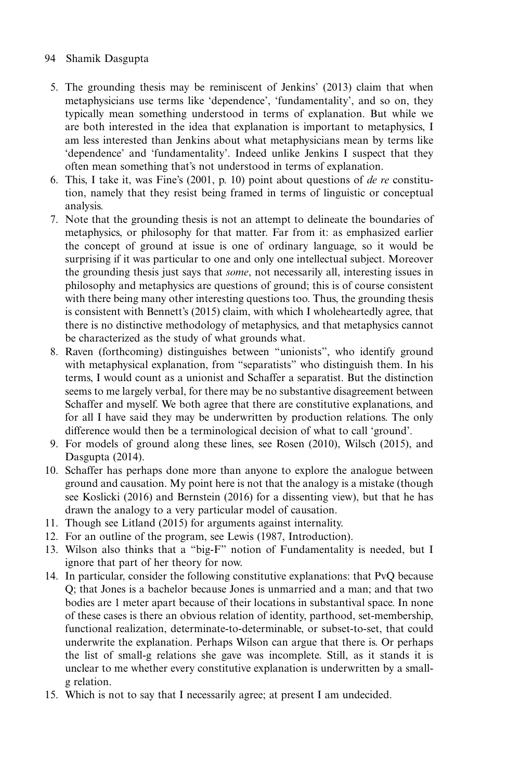## 94 Shamik Dasgupta

- 5. The grounding thesis may be reminiscent of Jenkins' (2013) claim that when metaphysicians use terms like 'dependence', 'fundamentality', and so on, they typically mean something understood in terms of explanation. But while we are both interested in the idea that explanation is important to metaphysics, I am less interested than Jenkins about what metaphysicians mean by terms like 'dependence' and 'fundamentality'. Indeed unlike Jenkins I suspect that they often mean something that's not understood in terms of explanation.
- 6. This, I take it, was Fine's (2001, p. 10) point about questions of *de re* constitution, namely that they resist being framed in terms of linguistic or conceptual analysis.
- 7. Note that the grounding thesis is not an attempt to delineate the boundaries of metaphysics, or philosophy for that matter. Far from it: as emphasized earlier the concept of ground at issue is one of ordinary language, so it would be surprising if it was particular to one and only one intellectual subject. Moreover the grounding thesis just says that *some*, not necessarily all, interesting issues in philosophy and metaphysics are questions of ground; this is of course consistent with there being many other interesting questions too. Thus, the grounding thesis is consistent with Bennett's (2015) claim, with which I wholeheartedly agree, that there is no distinctive methodology of metaphysics, and that metaphysics cannot be characterized as the study of what grounds what.
- 8. Raven (forthcoming) distinguishes between "unionists", who identify ground with metaphysical explanation, from "separatists" who distinguish them. In his terms, I would count as a unionist and Schaffer a separatist. But the distinction seems to me largely verbal, for there may be no substantive disagreement between Schaffer and myself. We both agree that there are constitutive explanations, and for all I have said they may be underwritten by production relations. The only difference would then be a terminological decision of what to call 'ground'.
- 9. For models of ground along these lines, see Rosen (2010), Wilsch (2015), and Dasgupta (2014).
- 10. Schaffer has perhaps done more than anyone to explore the analogue between ground and causation. My point here is not that the analogy is a mistake (though see Koslicki (2016) and Bernstein (2016) for a dissenting view), but that he has drawn the analogy to a very particular model of causation.
- 11. Though see Litland (2015) for arguments against internality.
- 12. For an outline of the program, see Lewis (1987, Introduction).
- 13. Wilson also thinks that a "big-F" notion of Fundamentality is needed, but I ignore that part of her theory for now.
- 14. In particular, consider the following constitutive explanations: that PvQ because Q; that Jones is a bachelor because Jones is unmarried and a man; and that two bodies are 1 meter apart because of their locations in substantival space. In none of these cases is there an obvious relation of identity, parthood, set-membership, functional realization, determinate-to-determinable, or subset-to-set, that could underwrite the explanation. Perhaps Wilson can argue that there is. Or perhaps the list of small-g relations she gave was incomplete. Still, as it stands it is unclear to me whether every constitutive explanation is underwritten by a smallg relation.
- 15. Which is not to say that I necessarily agree; at present I am undecided.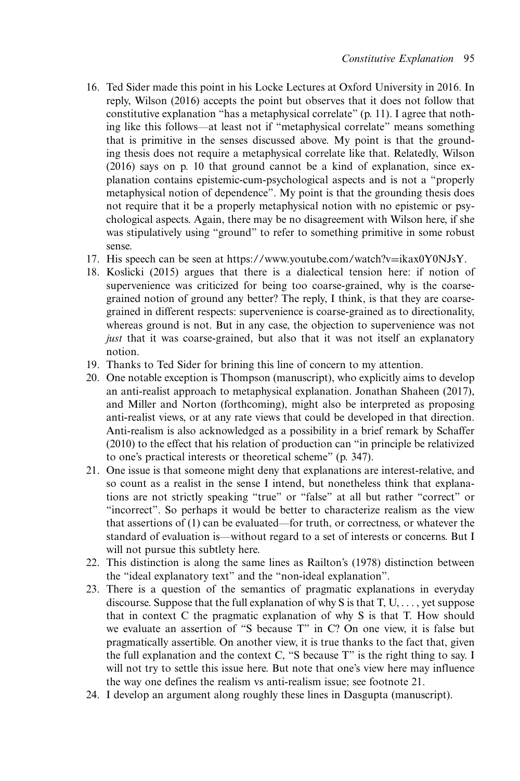- 16. Ted Sider made this point in his Locke Lectures at Oxford University in 2016. In reply, Wilson (2016) accepts the point but observes that it does not follow that constitutive explanation "has a metaphysical correlate" (p. 11). I agree that nothing like this follows—at least not if "metaphysical correlate" means something that is primitive in the senses discussed above. My point is that the grounding thesis does not require a metaphysical correlate like that. Relatedly, Wilson (2016) says on p. 10 that ground cannot be a kind of explanation, since explanation contains epistemic-cum-psychological aspects and is not a "properly metaphysical notion of dependence". My point is that the grounding thesis does not require that it be a properly metaphysical notion with no epistemic or psychological aspects. Again, there may be no disagreement with Wilson here, if she was stipulatively using "ground" to refer to something primitive in some robust sense.
- 17. His speech can be seen at https://www.youtube.com/watch?v=ikax0Y0NJsY.
- 18. Koslicki (2015) argues that there is a dialectical tension here: if notion of supervenience was criticized for being too coarse-grained, why is the coarsegrained notion of ground any better? The reply, I think, is that they are coarsegrained in different respects: supervenience is coarse-grained as to directionality, whereas ground is not. But in any case, the objection to supervenience was not *just* that it was coarse-grained, but also that it was not itself an explanatory notion.
- 19. Thanks to Ted Sider for brining this line of concern to my attention.
- 20. One notable exception is Thompson (manuscript), who explicitly aims to develop an anti-realist approach to metaphysical explanation. Jonathan Shaheen (2017), and Miller and Norton (forthcoming), might also be interpreted as proposing anti-realist views, or at any rate views that could be developed in that direction. Anti-realism is also acknowledged as a possibility in a brief remark by Schaffer (2010) to the effect that his relation of production can "in principle be relativized to one's practical interests or theoretical scheme" (p. 347).
- 21. One issue is that someone might deny that explanations are interest-relative, and so count as a realist in the sense I intend, but nonetheless think that explanations are not strictly speaking "true" or "false" at all but rather "correct" or "incorrect". So perhaps it would be better to characterize realism as the view that assertions of (1) can be evaluated—for truth, or correctness, or whatever the standard of evaluation is—without regard to a set of interests or concerns. But I will not pursue this subtlety here.
- 22. This distinction is along the same lines as Railton's (1978) distinction between the "ideal explanatory text" and the "non-ideal explanation".
- 23. There is a question of the semantics of pragmatic explanations in everyday discourse. Suppose that the full explanation of why S is that T,  $U, \ldots$ , yet suppose that in context C the pragmatic explanation of why S is that T. How should we evaluate an assertion of "S because T" in C? On one view, it is false but pragmatically assertible. On another view, it is true thanks to the fact that, given the full explanation and the context C, "S because T" is the right thing to say. I will not try to settle this issue here. But note that one's view here may influence the way one defines the realism vs anti-realism issue; see footnote 21.
- 24. I develop an argument along roughly these lines in Dasgupta (manuscript).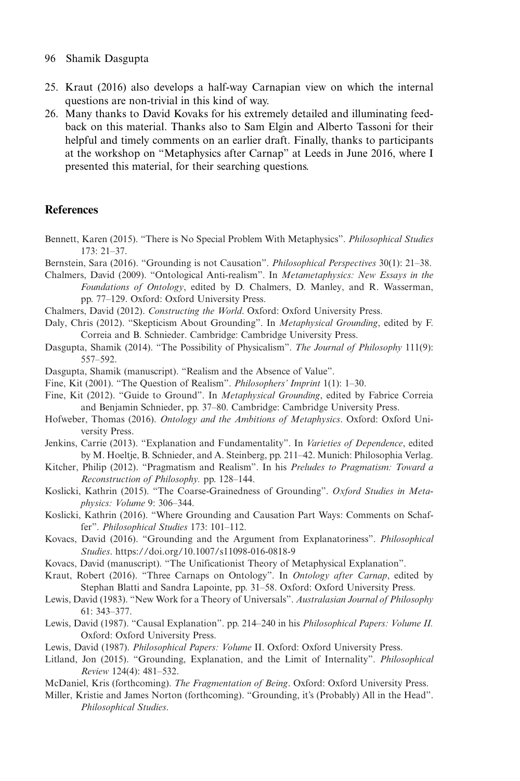#### 96 Shamik Dasgupta

- 25. Kraut (2016) also develops a half-way Carnapian view on which the internal questions are non-trivial in this kind of way.
- 26. Many thanks to David Kovaks for his extremely detailed and illuminating feedback on this material. Thanks also to Sam Elgin and Alberto Tassoni for their helpful and timely comments on an earlier draft. Finally, thanks to participants at the workshop on "Metaphysics after Carnap" at Leeds in June 2016, where I presented this material, for their searching questions.

# **References**

- Bennett, Karen (2015). "There is No Special Problem With Metaphysics". *Philosophical Studies* 173: 21–37.
- Bernstein, Sara (2016). "Grounding is not Causation". *Philosophical Perspectives* 30(1): 21–38.
- Chalmers, David (2009). "Ontological Anti-realism". In *Metametaphysics: New Essays in the Foundations of Ontology*, edited by D. Chalmers, D. Manley, and R. Wasserman, pp. 77–129. Oxford: Oxford University Press.
- Chalmers, David (2012). *Constructing the World*. Oxford: Oxford University Press.
- Daly, Chris (2012). "Skepticism About Grounding". In *Metaphysical Grounding*, edited by F. Correia and B. Schnieder. Cambridge: Cambridge University Press.
- Dasgupta, Shamik (2014). "The Possibility of Physicalism". *The Journal of Philosophy* 111(9): 557–592.
- Dasgupta, Shamik (manuscript). "Realism and the Absence of Value".
- Fine, Kit (2001). "The Question of Realism". *Philosophers' Imprint* 1(1): 1–30.
- Fine, Kit (2012). "Guide to Ground". In *Metaphysical Grounding*, edited by Fabrice Correia and Benjamin Schnieder, pp. 37–80. Cambridge: Cambridge University Press.
- Hofweber, Thomas (2016). *Ontology and the Ambitions of Metaphysics*. Oxford: Oxford University Press.
- Jenkins, Carrie (2013). "Explanation and Fundamentality". In *Varieties of Dependence*, edited by M. Hoeltje, B. Schnieder, and A. Steinberg, pp. 211–42. Munich: Philosophia Verlag.
- Kitcher, Philip (2012). "Pragmatism and Realism". In his *Preludes to Pragmatism: Toward a Reconstruction of Philosophy.* pp. 128–144.
- Koslicki, Kathrin (2015). "The Coarse-Grainedness of Grounding". *Oxford Studies in Metaphysics: Volume* 9: 306–344.
- Koslicki, Kathrin (2016). "Where Grounding and Causation Part Ways: Comments on Schaffer". *Philosophical Studies* 173: 101–112.
- Kovacs, David (2016). "Grounding and the Argument from Explanatoriness". *Philosophical Studies*. https://doi.org/10.1007/s11098-016-0818-9
- Kovacs, David (manuscript). "The Unificationist Theory of Metaphysical Explanation".
- Kraut, Robert (2016). "Three Carnaps on Ontology". In *Ontology after Carnap*, edited by Stephan Blatti and Sandra Lapointe, pp. 31–58. Oxford: Oxford University Press.
- Lewis, David (1983). "New Work for a Theory of Universals". *Australasian Journal of Philosophy* 61: 343–377.
- Lewis, David (1987). "Causal Explanation". pp. 214–240 in his *Philosophical Papers: Volume II.* Oxford: Oxford University Press.
- Lewis, David (1987). *Philosophical Papers: Volume* II. Oxford: Oxford University Press.
- Litland, Jon (2015). "Grounding, Explanation, and the Limit of Internality". *Philosophical Review* 124(4): 481–532.
- McDaniel, Kris (forthcoming). *The Fragmentation of Being*. Oxford: Oxford University Press.
- Miller, Kristie and James Norton (forthcoming). "Grounding, it's (Probably) All in the Head". *Philosophical Studies*.